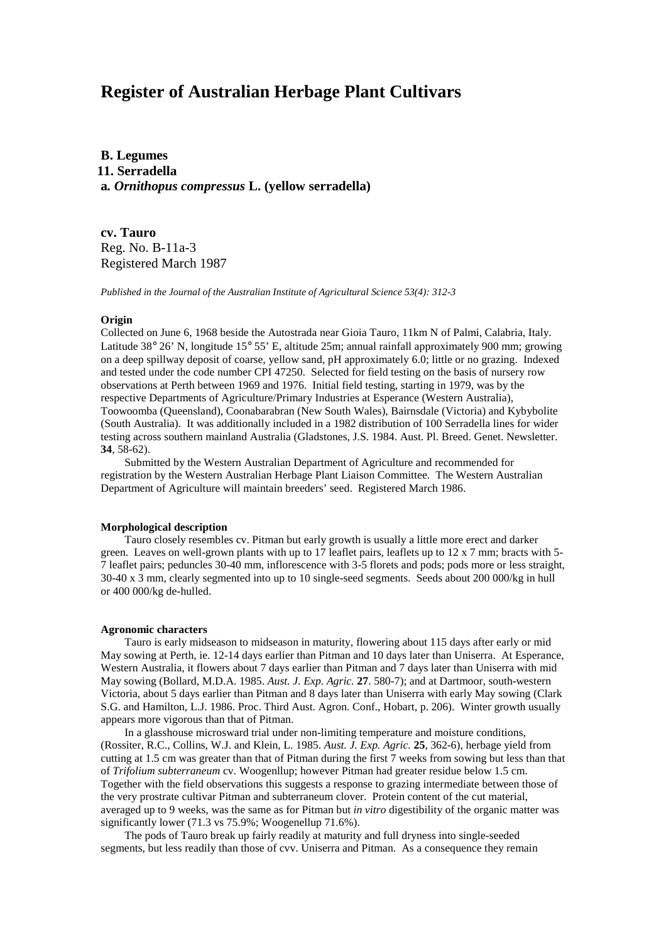# **Register of Australian Herbage Plant Cultivars**

**B. Legumes 11. Serradella a***. Ornithopus compressus* **L. (yellow serradella)**

**cv. Tauro** Reg. No. B-11a-3 Registered March 1987

*Published in the Journal of the Australian Institute of Agricultural Science 53(4): 312-3*

#### **Origin**

Collected on June 6, 1968 beside the Autostrada near Gioia Tauro, 11km N of Palmi, Calabria, Italy. Latitude 38° 26' N, longitude 15° 55' E, altitude 25m; annual rainfall approximately 900 mm; growing on a deep spillway deposit of coarse, yellow sand, pH approximately 6.0; little or no grazing. Indexed and tested under the code number CPI 47250. Selected for field testing on the basis of nursery row observations at Perth between 1969 and 1976. Initial field testing, starting in 1979, was by the respective Departments of Agriculture/Primary Industries at Esperance (Western Australia), Toowoomba (Queensland), Coonabarabran (New South Wales), Bairnsdale (Victoria) and Kybybolite (South Australia). It was additionally included in a 1982 distribution of 100 Serradella lines for wider testing across southern mainland Australia (Gladstones, J.S. 1984. Aust. Pl. Breed. Genet. Newsletter. **34**, 58-62).

Submitted by the Western Australian Department of Agriculture and recommended for registration by the Western Australian Herbage Plant Liaison Committee. The Western Australian Department of Agriculture will maintain breeders' seed. Registered March 1986.

## **Morphological description**

Tauro closely resembles cv. Pitman but early growth is usually a little more erect and darker green. Leaves on well-grown plants with up to 17 leaflet pairs, leaflets up to 12 x 7 mm; bracts with 5-7 leaflet pairs; peduncles 30-40 mm, inflorescence with 3-5 florets and pods; pods more or less straight, 30-40 x 3 mm, clearly segmented into up to 10 single-seed segments. Seeds about 200 000/kg in hull or 400 000/kg de-hulled.

#### **Agronomic characters**

Tauro is early midseason to midseason in maturity, flowering about 115 days after early or mid May sowing at Perth, ie. 12-14 days earlier than Pitman and 10 days later than Uniserra. At Esperance, Western Australia, it flowers about 7 days earlier than Pitman and 7 days later than Uniserra with mid May sowing (Bollard, M.D.A. 1985. *Aust. J. Exp. Agric.* **27**. 580-7); and at Dartmoor, south-western Victoria, about 5 days earlier than Pitman and 8 days later than Uniserra with early May sowing (Clark S.G. and Hamilton, L.J. 1986. Proc. Third Aust. Agron. Conf., Hobart, p. 206). Winter growth usually appears more vigorous than that of Pitman.

In a glasshouse microsward trial under non-limiting temperature and moisture conditions, (Rossiter, R.C., Collins, W.J. and Klein, L. 1985. *Aust. J. Exp. Agric.* **25**, 362-6), herbage yield from cutting at 1.5 cm was greater than that of Pitman during the first 7 weeks from sowing but less than that of *Trifolium subterraneum* cv. Woogenllup; however Pitman had greater residue below 1.5 cm. Together with the field observations this suggests a response to grazing intermediate between those of the very prostrate cultivar Pitman and subterraneum clover. Protein content of the cut material, averaged up to 9 weeks, was the same as for Pitman but *in vitro* digestibility of the organic matter was significantly lower (71.3 vs 75.9%; Woogenellup 71.6%).

The pods of Tauro break up fairly readily at maturity and full dryness into single-seeded segments, but less readily than those of cvv. Uniserra and Pitman. As a consequence they remain